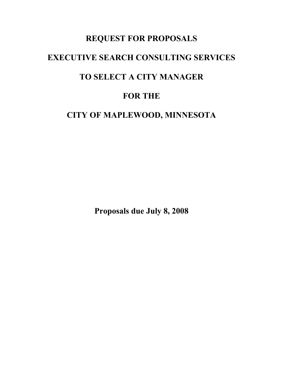# **REQUEST FOR PROPOSALS EXECUTIVE SEARCH CONSULTING SERVICES TO SELECT A CITY MANAGER FOR THE CITY OF MAPLEWOOD, MINNESOTA**

**Proposals due July 8, 2008**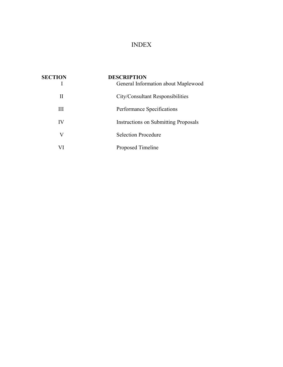# INDEX

| <b>SECTION</b> | <b>DESCRIPTION</b><br>General Information about Maplewood |
|----------------|-----------------------------------------------------------|
| Н              | City/Consultant Responsibilities                          |
| Ш              | Performance Specifications                                |
| IV             | Instructions on Submitting Proposals                      |
| V              | <b>Selection Procedure</b>                                |
|                | Proposed Timeline                                         |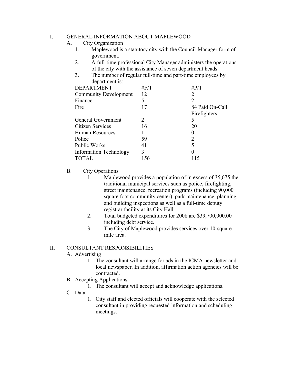#### I. GENERAL INFORMATION ABOUT MAPLEWOOD

- A. City Organization
	- 1. Maplewood is a statutory city with the Council-Manager form of government.
	- 2. A full-time professional City Manager administers the operations of the city with the assistance of seven department heads.
	- 3. The number of regular full-time and part-time employees by department is:

| <b>DEPARTMENT</b>             | $\#F/T$                     | $\#P/T$         |
|-------------------------------|-----------------------------|-----------------|
| <b>Community Development</b>  | 12                          | 2               |
| Finance                       | 5                           | 2               |
| Fire                          | 17                          | 84 Paid On-Call |
|                               |                             | Firefighters    |
| General Government            | $\mathcal{D}_{\mathcal{L}}$ | 5               |
| <b>Citizen Services</b>       | 16                          | 20              |
| Human Resources               |                             | $_{0}$          |
| Police                        | 59                          | 2               |
| <b>Public Works</b>           | 41                          | 5               |
| <b>Information Technology</b> | 3                           |                 |
| <b>TOTAL</b>                  | 156                         | 115             |

### B. City Operations

- 1. Maplewood provides a population of in excess of 35,675 the traditional municipal services such as police, firefighting, street maintenance, recreation programs (including 90,000 square foot community center), park maintenance, planning and building inspections as well as a full-time deputy registrar facility at its City Hall.
- 2. Total budgeted expenditures for 2008 are \$39,700,000.00 including debt service.
- 3. The City of Maplewood provides services over 10-square mile area.

#### II. CONSULTANT RESPONSIBILITIES

- A. Advertising
	- 1. The consultant will arrange for ads in the ICMA newsletter and local newspaper. In addition, affirmation action agencies will be contracted.
- B. Accepting Applications
	- 1. The consultant will accept and acknowledge applications.
- C. Data
- 1. City staff and elected officials will cooperate with the selected consultant in providing requested information and scheduling meetings.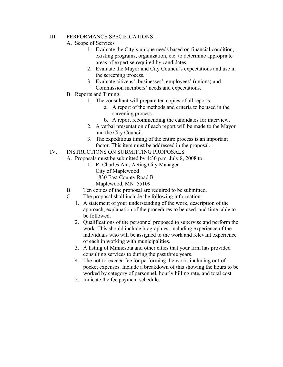### III. PERFORMANCE SPECIFICATIONS

### A. Scope of Services

- 1. Evaluate the City's unique needs based on financial condition, existing programs, organization, etc. to determine appropriate areas of expertise required by candidates.
- 2. Evaluate the Mayor and City Council's expectations and use in the screening process.
- 3. Evaluate citizens', businesses', employees' (unions) and Commission members' needs and expectations.
- B. Reports and Timing:
	- 1. The consultant will prepare ten copies of all reports.
		- a. A report of the methods and criteria to be used in the screening process.
		- b. A report recommending the candidates for interview.
	- 2. A verbal presentation of each report will be made to the Mayor and the City Council.
	- 3. The expeditious timing of the entire process is an important factor. This item must be addressed in the proposal.
- IV. INSTRUCTIONS ON SUBMITTING PROPOSALS
	- A. Proposals must be submitted by 4:30 p.m. July 8, 2008 to:
		- 1. R. Charles Ahl, Acting City Manager City of Maplewood 1830 East County Road B
			- Maplewood, MN 55109
	- B. Ten copies of the proposal are required to be submitted.
	- C. The proposal shall include the following information:
		- 1. A statement of your understanding of the work, description of the approach, explanation of the procedures to be used, and time table to be followed.
		- 2. Qualifications of the personnel proposed to supervise and perform the work. This should include biographies, including experience of the individuals who will be assigned to the work and relevant experience of each in working with municipalities.
		- 3. A listing of Minnesota and other cities that your firm has provided consulting services to during the past three years.
		- 4. The not-to-exceed fee for performing the work, including out-ofpocket expenses. Include a breakdown of this showing the hours to be worked by category of personnel, hourly billing rate, and total cost.
		- 5. Indicate the fee payment schedule.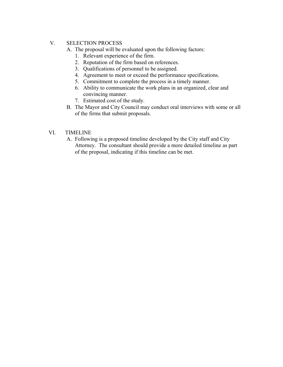## V. SELECTION PROCESS

A. The proposal will be evaluated upon the following factors:

- 1. Relevant experience of the firm.
- 2. Reputation of the firm based on references.
- 3. Qualifications of personnel to be assigned.
- 4. Agreement to meet or exceed the performance specifications.
- 5. Commitment to complete the process in a timely manner.
- 6. Ability to communicate the work plans in an organized, clear and convincing manner.
- 7. Estimated cost of the study.
- B. The Mayor and City Council may conduct oral interviews with some or all of the firms that submit proposals.
- VI. TIMELINE
	- A. Following is a proposed timeline developed by the City staff and City Attorney. The consultant should provide a more detailed timeline as part of the proposal, indicating if this timeline can be met.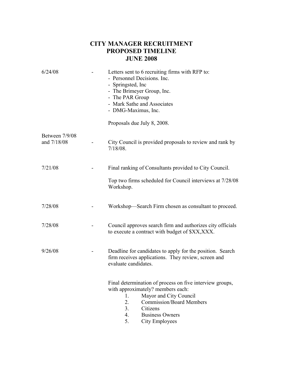## **CITY MANAGER RECRUITMENT PROPOSED TIMELINE JUNE 2008**

| 6/24/08                       | Letters sent to 6 recruiting firms with RFP to:<br>- Personnel Decisions. Inc.<br>- Springsted, Inc.<br>- The Brimeyer Group, Inc.<br>- The PAR Group<br>- Mark Sathe and Associates<br>- DMG-Maximus, Inc.<br>Proposals due July 8, 2008.              |  |
|-------------------------------|---------------------------------------------------------------------------------------------------------------------------------------------------------------------------------------------------------------------------------------------------------|--|
| Between 7/9/08<br>and 7/18/08 | City Council is provided proposals to review and rank by<br>$7/18/08$ .                                                                                                                                                                                 |  |
| 7/21/08                       | Final ranking of Consultants provided to City Council.<br>Top two firms scheduled for Council interviews at 7/28/08<br>Workshop.                                                                                                                        |  |
| 7/28/08                       | Workshop—Search Firm chosen as consultant to proceed.                                                                                                                                                                                                   |  |
| 7/28/08                       | Council approves search firm and authorizes city officials<br>to execute a contract with budget of \$XX, XXX.                                                                                                                                           |  |
| 9/26/08                       | Deadline for candidates to apply for the position. Search<br>firm receives applications. They review, screen and<br>evaluate candidates.                                                                                                                |  |
|                               | Final determination of process on five interview groups,<br>with approximately? members each:<br>Mayor and City Council<br>1.<br><b>Commission/Board Members</b><br>2.<br>3.<br>Citizens<br><b>Business Owners</b><br>4.<br>5.<br><b>City Employees</b> |  |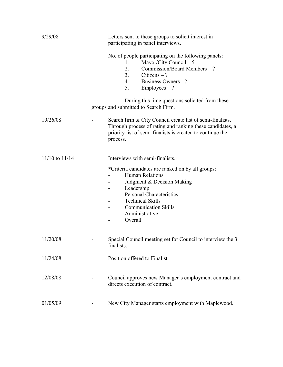| 9/29/08            | Letters sent to these groups to solicit interest in<br>participating in panel interviews.                                                                                                                                                  |
|--------------------|--------------------------------------------------------------------------------------------------------------------------------------------------------------------------------------------------------------------------------------------|
|                    | No. of people participating on the following panels:<br>Mayor/City Council $-5$<br>1.<br>2.<br>Commission/Board Members – ?<br>3.<br>Citizens $-$ ?<br>4.<br><b>Business Owners - ?</b><br>$Employes - ?$<br>5.                            |
|                    | During this time questions solicited from these<br>groups and submitted to Search Firm.                                                                                                                                                    |
| 10/26/08           | Search firm & City Council create list of semi-finalists.<br>Through process of rating and ranking these candidates, a<br>priority list of semi-finalists is created to continue the<br>process.                                           |
| $11/10$ to $11/14$ | Interviews with semi-finalists.                                                                                                                                                                                                            |
|                    | *Criteria candidates are ranked on by all groups:<br>Human Relations<br>Judgment & Decision Making<br>Leadership<br><b>Personal Characteristics</b><br><b>Technical Skills</b><br><b>Communication Skills</b><br>Administrative<br>Overall |
| 11/20/08           | Special Council meeting set for Council to interview the 3<br>finalists.                                                                                                                                                                   |
| 11/24/08           | Position offered to Finalist.                                                                                                                                                                                                              |
| 12/08/08           | Council approves new Manager's employment contract and<br>directs execution of contract.                                                                                                                                                   |
| 01/05/09           | New City Manager starts employment with Maplewood.                                                                                                                                                                                         |